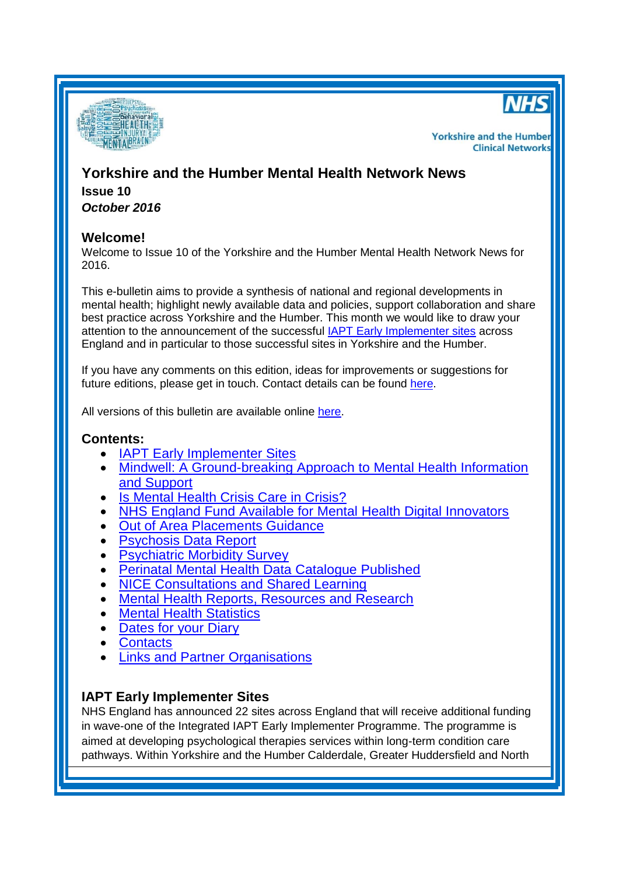



**Yorkshire and the Humber Clinical Networks** 

# **Yorkshire and the Humber Mental Health Network News Issue 10** *October 2016*

## **Welcome!**

Welcome to Issue 10 of the Yorkshire and the Humber Mental Health Network News for 2016.

This e-bulletin aims to provide a synthesis of national and regional developments in mental health; highlight newly available data and policies, support collaboration and share best practice across Yorkshire and the Humber. This month we would like to draw your attention to the announcement of the successful [IAPT Early Implementer sites](#page-0-0) across England and in particular to those successful sites in Yorkshire and the Humber.

If you have any comments on this edition, ideas for improvements or suggestions for future editions, please get in touch. Contact details can be found [here.](#page-6-0)

All versions of this bulletin are available online [here.](http://www.yhscn.nhs.uk/mental-health-clinic/mental-health-network/MH-documents-and-links.php)

### **Contents:**

- **[IAPT Early Implementer Sites](#page-0-0)**
- Mindwell: A Ground-breaking [Approach to Mental Health Information](#page-1-0)  [and Support](#page-1-0)
- [Is Mental Health Crisis Care in Crisis?](#page-1-0)
- [NHS England Fund Available for Mental Health Digital Innovators](#page-1-1)
- [Out of Area Placements Guidance](#page-1-2)
- [Psychosis Data Report](#page-2-0)
- **[Psychiatric Morbidity Survey](#page-2-1)**
- [Perinatal Mental Health Data Catalogue](#page-2-2) Published
- [NICE Consultations and Shared Learning](#page-2-3)
- [Mental Health Reports, Resources](#page-3-0) and Research
- [Mental Health Statistics](#page-4-0)
- [Dates for your](#page-5-0) Diary
- [Contacts](#page-6-0)
- **[Links and Partner Organisations](#page-6-1)**

## <span id="page-0-0"></span>**IAPT Early Implementer Sites**

NHS England has announced 22 sites across England that will receive additional funding in wave-one of the Integrated IAPT Early Implementer Programme. The programme is aimed at developing psychological therapies services within long-term condition care pathways. Within Yorkshire and the Humber Calderdale, Greater Huddersfield and North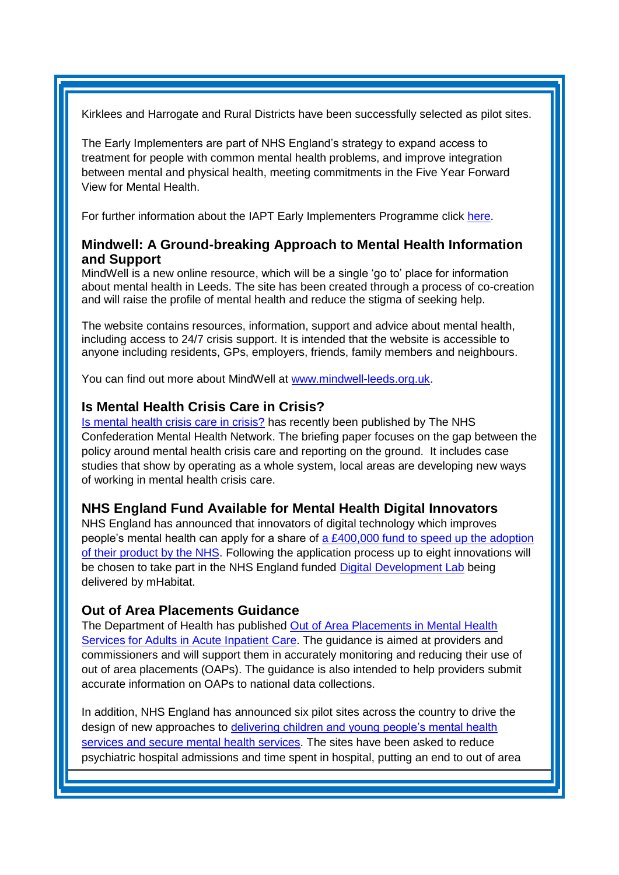Kirklees and Harrogate and Rural Districts have been successfully selected as pilot sites.

The Early Implementers are part of NHS England's strategy to expand access to treatment for people with common mental health problems, and improve integration between mental and physical health, meeting commitments in the Five Year Forward View for Mental Health.

For further information about the IAPT Early Implementers Programme click [here.](https://www.england.nhs.uk/mentalhealth/adults/iapt/mus/sites/)

# <span id="page-1-0"></span>**Mindwell: A Ground-breaking Approach to Mental Health Information and Support**

MindWell is a new online resource, which will be a single 'go to' place for information about mental health in Leeds. The site has been created through a process of co-creation and will raise the profile of mental health and reduce the stigma of seeking help.

The website contains resources, information, support and advice about mental health, including access to 24/7 crisis support. It is intended that the website is accessible to anyone including residents, GPs, employers, friends, family members and neighbours.

You can find out more about MindWell at [www.mindwell-leeds.org.uk.](http://opforum.us2.list-manage.com/track/click?u=9b2dc435ad7fc457c95d8c2dd&id=bd799774b6&e=5f8feeae21)

## **Is Mental Health Crisis Care in Crisis?**

[Is mental health crisis care in crisis?](http://www.nhsconfed.org/resources/2016/10/is-mental-health-crisis-care-in-crisis) has recently been published by The NHS Confederation Mental Health Network. The briefing paper focuses on the gap between the policy around mental health crisis care and reporting on the ground. It includes case studies that show by operating as a whole system, local areas are developing new ways of working in mental health crisis care.

### <span id="page-1-1"></span>**NHS England Fund Available for Mental Health Digital Innovators**

NHS England has announced that innovators of digital technology which improves people's mental health can apply for a share of a  $£400,000$  fund to speed up the adoption [of their product by the NHS.](http://links.nhs.mkt5643.com/ctt?kn=10&ms=NTI2MTk2OTgS1&r=OTQyMzUxODIxMzQS1&b=0&j=MTAyNDk5MDE2NgS2&mt=1&rt=0) Following the application process up to eight innovations will be chosen to take part in the NHS England funded [Digital Development Lab](http://links.nhs.mkt5643.com/ctt?kn=9&ms=NTI2MTk2OTgS1&r=OTQyMzUxODIxMzQS1&b=0&j=MTAyNDk5MDE2NgS2&mt=1&rt=0) being delivered by mHabitat.

## <span id="page-1-2"></span>**Out of Area Placements Guidance**

The Department of Health has published [Out of Area Placements in Mental Health](https://www.gov.uk/government/publications/oaps-in-mental-health-services-for-adults-in-acute-inpatient-care)  [Services for Adults in Acute Inpatient Care.](https://www.gov.uk/government/publications/oaps-in-mental-health-services-for-adults-in-acute-inpatient-care) The guidance is aimed at providers and commissioners and will support them in accurately monitoring and reducing their use of out of area placements (OAPs). The guidance is also intended to help providers submit accurate information on OAPs to national data collections.

In addition, NHS England has announced six pilot sites across the country to drive the design of new approaches to delivering children and young people's mental health [services and secure mental health services.](https://www.england.nhs.uk/2016/09/mh-pilot-sites/) The sites have been asked to reduce psychiatric hospital admissions and time spent in hospital, putting an end to out of area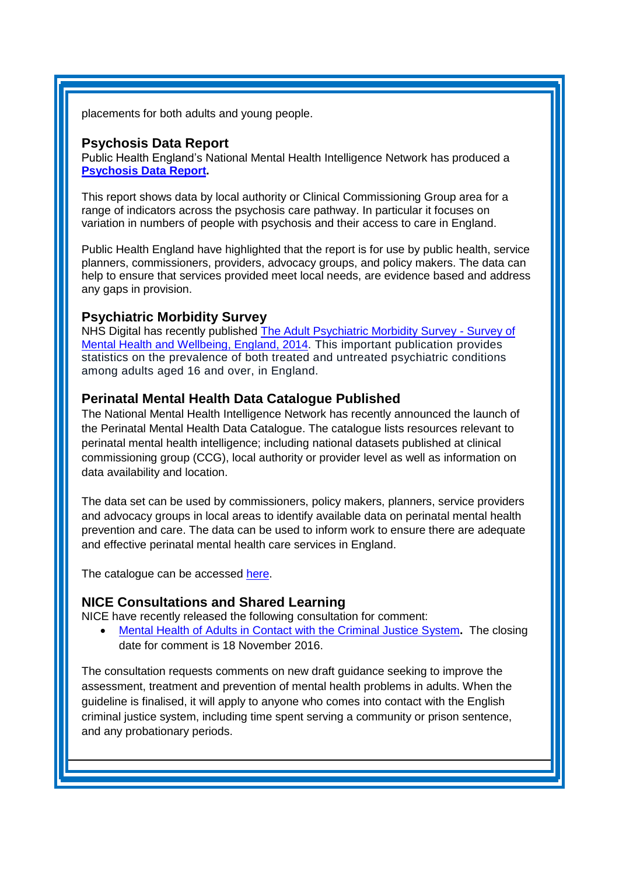placements for both adults and young people.

#### <span id="page-2-0"></span>**Psychosis Data Report**

Public Health England's National Mental Health Intelligence Network has produced a **[Psychosis Data Report.](ariation%20in%20numbers%20of%20people%20with%20psychosis%20and%20their%20access%20to%20care%20in%20England.)** 

This report shows data by local authority or Clinical Commissioning Group area for a range of indicators across the psychosis care pathway. In particular it focuses on variation in numbers of people with psychosis and their access to care in England.

Public Health England have highlighted that the report is for use by public health, service planners, commissioners, providers, advocacy groups, and policy makers. The data can help to ensure that services provided meet local needs, are evidence based and address any gaps in provision.

### <span id="page-2-1"></span>**Psychiatric Morbidity Survey**

NHS Digital has recently published [The Adult Psychiatric Morbidity Survey -](http://content.digital.nhs.uk/catalogue/PUB21748) Survey of [Mental Health and Wellbeing, England, 2014.](http://content.digital.nhs.uk/catalogue/PUB21748) This important publication provides statistics on the prevalence of both treated and untreated psychiatric conditions among adults aged 16 and over, in England.

### <span id="page-2-2"></span>**Perinatal Mental Health Data Catalogue Published**

The National Mental Health Intelligence Network has recently announced the launch of the Perinatal Mental Health Data Catalogue. The catalogue lists resources relevant to perinatal mental health intelligence; including national datasets published at clinical commissioning group (CCG), local authority or provider level as well as information on data availability and location.

The data set can be used by commissioners, policy makers, planners, service providers and advocacy groups in local areas to identify available data on perinatal mental health prevention and care. The data can be used to inform work to ensure there are adequate and effective perinatal mental health care services in England.

The catalogue can be accessed [here.](http://www.yhpho.org.uk/resource/view.aspx?RID=245116)

### <span id="page-2-3"></span>**NICE Consultations and Shared Learning**

NICE have recently released the following consultation for comment:

 [Mental Health of Adults in Contact with the Criminal Justice System](https://www.nice.org.uk/guidance/indevelopment/gid-cgwave0726/consultation/html-content-2)**.** The closing date for comment is 18 November 2016.

The consultation requests comments on new draft guidance seeking to improve the assessment, treatment and prevention of mental health problems in adults. When the guideline is finalised, it will apply to anyone who comes into contact with the English criminal justice system, including time spent serving a community or prison sentence, and any probationary periods.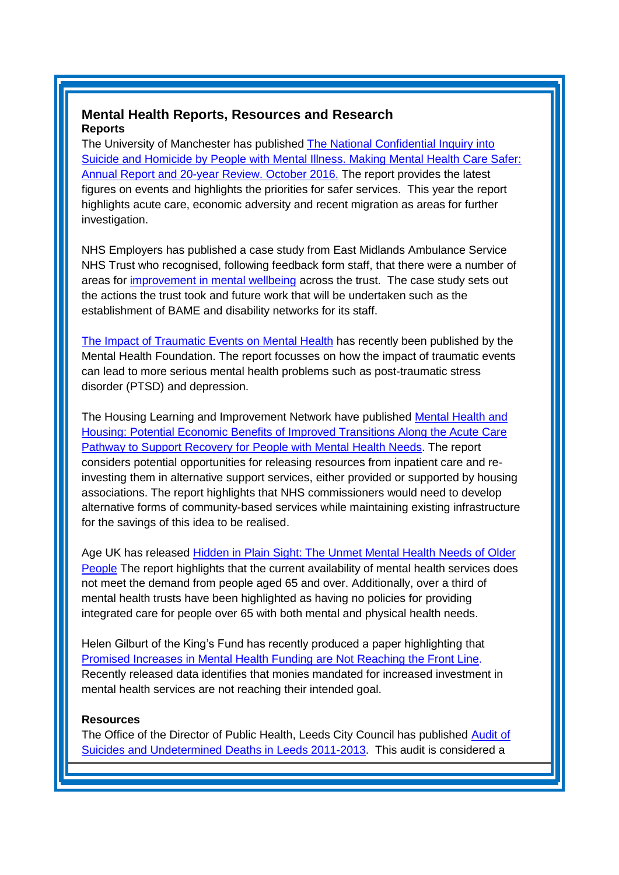### <span id="page-3-0"></span>**Mental Health Reports, Resources and Research Reports**

The University of Manchester has published [The National Confidential Inquiry into](http://research.bmh.manchester.ac.uk/cmhs/research/centreforsuicideprevention/nci)  [Suicide and Homicide by People with Mental Illness. Making Mental Health Care Safer:](http://research.bmh.manchester.ac.uk/cmhs/research/centreforsuicideprevention/nci)  [Annual Report and 20-year Review. October 2016.](http://research.bmh.manchester.ac.uk/cmhs/research/centreforsuicideprevention/nci) The report provides the latest figures on events and highlights the priorities for safer services. This year the report highlights acute care, economic adversity and recent migration as areas for further investigation.

NHS Employers has published a case study from East Midlands Ambulance Service NHS Trust who recognised, following feedback form staff, that there were a number of areas for [improvement in mental wellbeing](http://www.nhsemployers.org/case-studies-and-resources/2016/10/east-midlands-ambulance-service) across the trust. The case study sets out the actions the trust took and future work that will be undertaken such as the establishment of BAME and disability networks for its staff.

[The Impact of Traumatic Events on Mental Health](http://www.mentalhealth.org.uk/publications/impact-traumatic-events-mental-health) has recently been published by the Mental Health Foundation. The report focusses on how the impact of traumatic events can lead to more serious mental health problems such as post-traumatic stress disorder (PTSD) and depression.

The Housing Learning and Improvement Network have published [Mental Health and](http://www.housinglin.org.uk/Topics/browse/HousingMentaHealth/?parent=6081&child=10291)  [Housing: Potential Economic Benefits of Improved Transitions Along the Acute Care](http://www.housinglin.org.uk/Topics/browse/HousingMentaHealth/?parent=6081&child=10291)  [Pathway to Support Recovery for People with Mental Health Needs.](http://www.housinglin.org.uk/Topics/browse/HousingMentaHealth/?parent=6081&child=10291) The report considers potential opportunities for releasing resources from inpatient care and reinvesting them in alternative support services, either provided or supported by housing associations. The report highlights that NHS commissioners would need to develop alternative forms of community-based services while maintaining existing infrastructure for the savings of this idea to be realised.

Age UK has released [Hidden in Plain Sight: The Unmet Mental Health Needs of Older](http://www.ageuk.org.uk/Documents/EN-GB/For-professionals/Policy/health-and-wellbeing/Hidden_in_plain_sight_older_peoples_mental_health.pdf?dtrk=true&utm_source=The%20King%27s%20Fund%20newsletters&utm_medium=email&utm_campaign=7626347_NEWSL_HMP%202016-10-14&dm_i=21A8,4JGIZ,FLWT3F,GTX7Y,1)  [People](http://www.ageuk.org.uk/Documents/EN-GB/For-professionals/Policy/health-and-wellbeing/Hidden_in_plain_sight_older_peoples_mental_health.pdf?dtrk=true&utm_source=The%20King%27s%20Fund%20newsletters&utm_medium=email&utm_campaign=7626347_NEWSL_HMP%202016-10-14&dm_i=21A8,4JGIZ,FLWT3F,GTX7Y,1) The report highlights that the current availability of mental health services does not meet the demand from people aged 65 and over. Additionally, over a third of mental health trusts have been highlighted as having no policies for providing integrated care for people over 65 with both mental and physical health needs.

Helen Gilburt of the King's Fund has recently produced a paper highlighting that [Promised Increases in Mental Health Funding are Not](http://www.kingsfund.org.uk/blog/2016/10/trust-finances-mental-health-taskforce?utm_source=The%20King%27s%20Fund%20newsletters&utm_medium=email&utm_campaign=7655345_NEWSL_The%20Weekly%20Update%202016-10-20&utm_content=helenblogtitle&dm_i=21A8,4K2WH,FLWT3F,GWEVZ,1) Reaching the Front Line. Recently released data identifies that monies mandated for increased investment in mental health services are not reaching their intended goal.

#### **Resources**

The Office of the Director of Public Health, Leeds City Council has published [Audit of](http://observatory.leeds.gov.uk/news/item?itemId=251)  [Suicides and Undetermined Deaths in Leeds 2011-2013.](http://observatory.leeds.gov.uk/news/item?itemId=251) This audit is considered a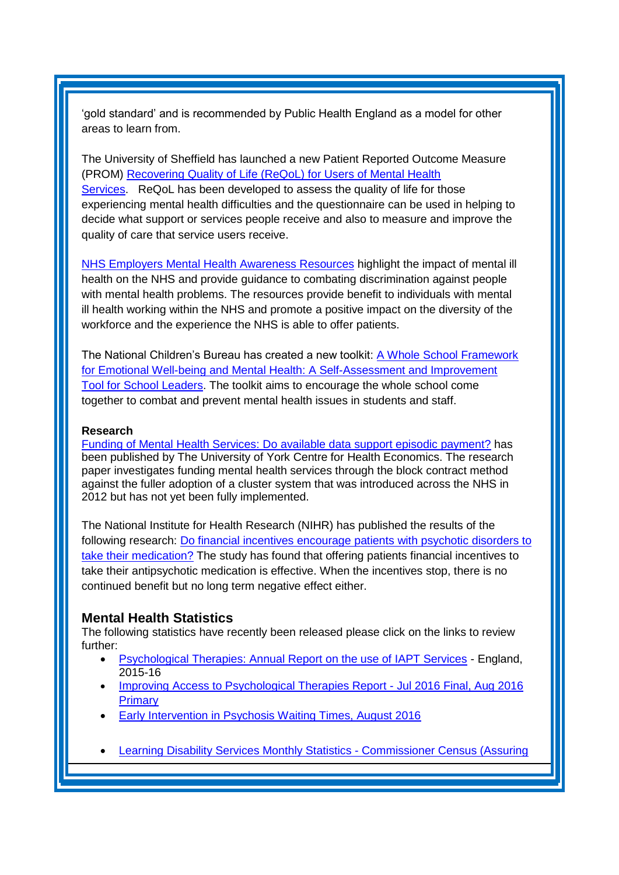'gold standard' and is recommended by Public Health England as a model for other areas to learn from.

The University of Sheffield has launched a new Patient Reported Outcome Measure (PROM) Recovering Quality [of Life \(ReQoL\) for Users of Mental Health](http://www.reqol.org.uk/p/overview.html)  [Services.](http://www.reqol.org.uk/p/overview.html) ReQoL has been developed to assess the quality of life for those experiencing mental health difficulties and the questionnaire can be used in helping to decide what support or services people receive and also to measure and improve the quality of care that service users receive.

[NHS Employers Mental Health Awareness Resources](http://www.nhsemployers.org/your-workforce/retain-and-improve/staff-experience/health-work-and-wellbeing/sustaining-the-momentum/calendar-of-national-campaigns-2016/mental-health-awareness) highlight the impact of mental ill health on the NHS and provide guidance to combating discrimination against people with mental health problems. The resources provide benefit to individuals with mental ill health working within the NHS and promote a positive impact on the diversity of the workforce and the experience the NHS is able to offer patients.

The National Children's Bureau has created a new toolkit: [A Whole School Framework](https://www.ncb.org.uk/news-opinion/news-highlights/national-childrens-bureau-aims-help-schools-tackle-mental-health-brand)  [for Emotional Well-being and Mental Health:](https://www.ncb.org.uk/news-opinion/news-highlights/national-childrens-bureau-aims-help-schools-tackle-mental-health-brand) A Self-Assessment and Improvement [Tool for School](https://www.ncb.org.uk/news-opinion/news-highlights/national-childrens-bureau-aims-help-schools-tackle-mental-health-brand) Leaders. The toolkit aims to encourage the whole school come together to combat and prevent mental health issues in students and staff.

#### **Research**

[Funding of Mental Health Services: Do available data support episodic payment?](http://www.york.ac.uk/che/news/2016/che-research-paper-137/) has been published by The University of York Centre for Health Economics. The research paper investigates funding mental health services through the block contract method against the fuller adoption of a cluster system that was introduced across the NHS in 2012 but has not yet been fully implemented.

The National Institute for Health Research (NIHR) has published the results of the following research: [Do financial incentives encourage patients with psychotic](http://www.nets.nihr.ac.uk/news/all/2016/do-financial-incentives-encourage-patients-with-psychotic-disorders-to-take-their-medication) disorders to [take their medication?](http://www.nets.nihr.ac.uk/news/all/2016/do-financial-incentives-encourage-patients-with-psychotic-disorders-to-take-their-medication) The study has found that offering patients financial incentives to take their antipsychotic medication is effective. When the incentives stop, there is no continued benefit but no long term negative effect either.

#### <span id="page-4-0"></span>**Mental Health Statistics**

The following statistics have recently been released please click on the links to review further:

- [Psychological Therapies: Annual Report on the use of IAPT Services](http://content.digital.nhs.uk/catalogue/PUB22110) England, 2015-16
- [Improving Access to Psychological Therapies Report -](https://www.gov.uk/government/statistics/improving-access-to-psychological-therapies-report-jul-2016-final-aug-2016-primary) Jul 2016 Final, Aug 2016 [Primary](https://www.gov.uk/government/statistics/improving-access-to-psychological-therapies-report-jul-2016-final-aug-2016-primary)
- [Early Intervention in Psychosis Waiting Times, August 2016](http://www.hscic.gov.uk/catalogue/PUB20526)
- [Learning Disability Services Monthly Statistics -](https://www.gov.uk/government/statistics/learning-disability-services-monthly-statistics-commissioner-census-assuring-transformation-sept-2016) Commissioner Census (Assuring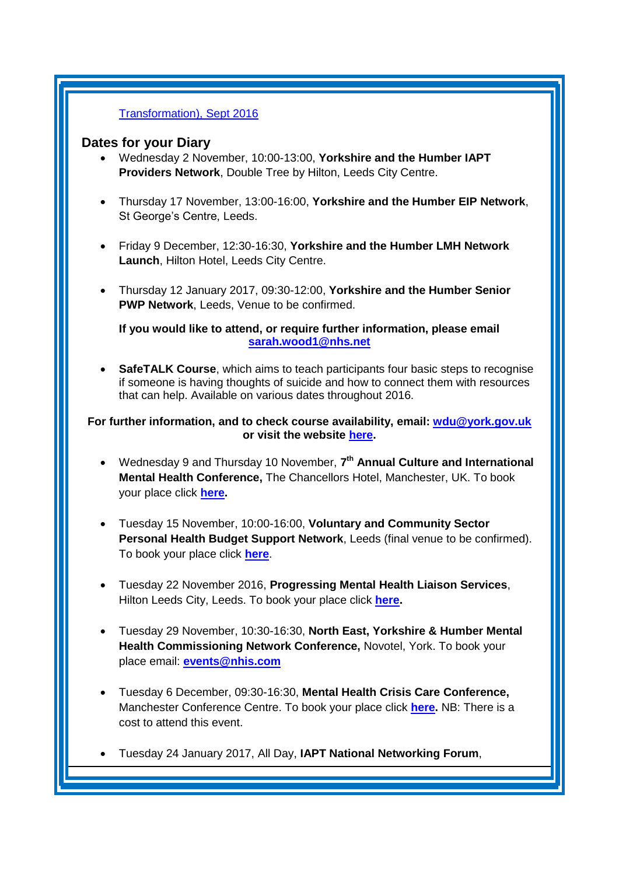#### [Transformation\), Sept 2016](https://www.gov.uk/government/statistics/learning-disability-services-monthly-statistics-commissioner-census-assuring-transformation-sept-2016)

#### <span id="page-5-0"></span>**Dates for your Diary**

- Wednesday 2 November, 10:00-13:00, **Yorkshire and the Humber IAPT Providers Network**, Double Tree by Hilton, Leeds City Centre.
- Thursday 17 November, 13:00-16:00, **Yorkshire and the Humber EIP Network**, St George's Centre, Leeds.
- Friday 9 December, 12:30-16:30, **Yorkshire and the Humber LMH Network Launch**, Hilton Hotel, Leeds City Centre.
- Thursday 12 January 2017, 09:30-12:00, **Yorkshire and the Humber Senior PWP Network**, Leeds, Venue to be confirmed.

**If you would like to attend, or require further information, please email [sarah.wood1@nhs.net](mailto:sarah.wood1@nhs.net)**

 **SafeTALK Course**, which aims to teach participants four basic steps to recognise if someone is having thoughts of suicide and how to connect them with resources that can help. Available on various dates throughout 2016.

#### **For further information, and to check course availability, email: [wdu@york.gov.uk](mailto:wdu@york.gov.uk) or visit the website [here.](http://www.yorkworkforcedevelopment.org.uk/)**

- Wednesday 9 and Thursday 10 November, **7 th Annual Culture and International Mental Health Conference,** The Chancellors Hotel, Manchester, UK. To book your place click **[here.](https://www.eventbrite.co.uk/e/7th-annual-culture-and-international-mental-health-conference-tickets-24232703669?aff=es2)**
- Tuesday 15 November, 10:00-16:00, **Voluntary and Community Sector Personal Health Budget Support Network**, Leeds (final venue to be confirmed). To book your place click **[here](https://www.eventbrite.co.uk/e/vcse-personal-health-budget-support-network-north-tickets-26783109000)**.
- Tuesday 22 November 2016, **Progressing Mental Health Liaison Services**, Hilton Leeds City, Leeds. To book your place click **[here.](http://www.sbk-healthcare.co.uk/home/title/2163/progressing-mental-health-liaison-services/?utm_source=SBK%20Healthcare&utm_medium=email&utm_campaign=7340689_16107MH%201st%20email)**
- Tuesday 29 November, 10:30-16:30, **North East, Yorkshire & Humber Mental Health Commissioning Network Conference,** Novotel, York. To book your place email: **[events@nhis.com](mailto:events@nhis.com)**
- Tuesday 6 December, 09:30-16:30, **Mental Health Crisis Care Conference,** Manchester Conference Centre. To book your place click **[here.](https://mxm.mxmfb.com/rsps/m/PuOqdiunIWexrFCyMJRBWn4ZOyGrAUfvD-VWZQ4UAdI)** NB: There is a cost to attend this event.
- Tuesday 24 January 2017, All Day, **IAPT National Networking Forum**,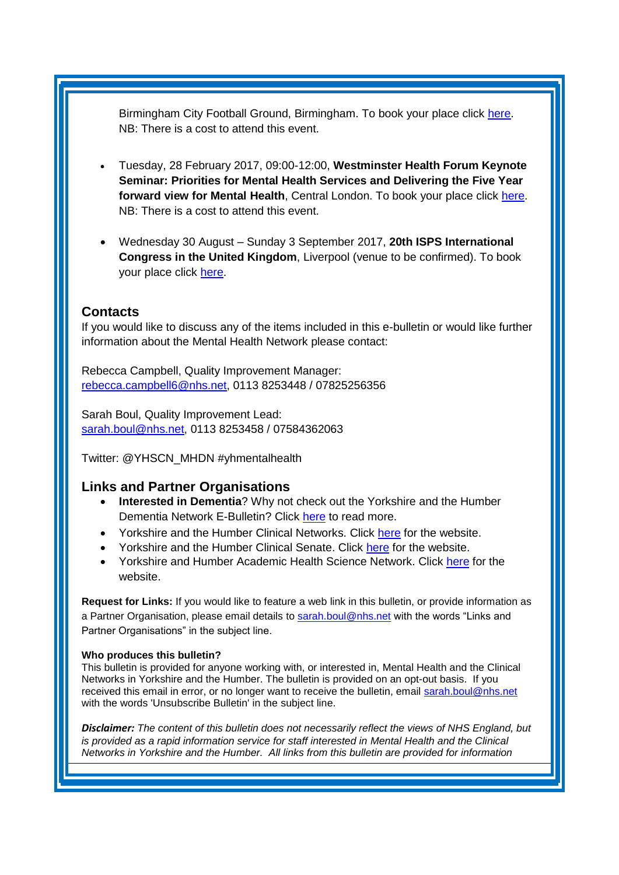Birmingham City Football Ground, Birmingham. To book your place click [here.](http://www.iapt-nnf.co.uk/booking/index/57/?utm_source=SBK%20Healthcare&utm_medium=email&utm_campaign=7571577_1701PT%201st%20email&dm_i=1SB0,4IA9L,NDG0NR,GO71G,1) NB: There is a cost to attend this event.

- Tuesday, 28 February 2017, 09:00-12:00, **Westminster Health Forum Keynote Seminar: Priorities for Mental Health Services and Delivering the Five Year forward view for Mental Health**, Central London. To book your place click [here.](http://www.westminsterforumprojects.co.uk/forums/book_event.php?eid=1301) NB: There is a cost to attend this event.
- Wednesday 30 August Sunday 3 September 2017, **20th ISPS International Congress in the United Kingdom**, Liverpool (venue to be confirmed). To book your place click [here.](http://www.isps2017uk.org/)

### <span id="page-6-0"></span>**Contacts**

If you would like to discuss any of the items included in this e-bulletin or would like further information about the Mental Health Network please contact:

Rebecca Campbell, Quality Improvement Manager: [rebecca.campbell6@nhs.net,](mailto:rebecca.campbell6@nhs.net) 0113 8253448 / 07825256356

Sarah Boul, Quality Improvement Lead: [sarah.boul@nhs.net,](mailto:sarah.boul@nhs.net) 0113 8253458 / 07584362063

Twitter: @YHSCN\_MHDN #yhmentalhealth

#### <span id="page-6-1"></span>**Links and Partner Organisations**

- **Interested in Dementia**? Why not check out the Yorkshire and the Humber Dementia Network E-Bulletin? Click [here](http://www.yhscn.nhs.uk/mental-health-clinic/Dementia/YHSCNDementiaBulletin.php) to read more.
- Yorkshire and the Humber Clinical Networks. Click [here](http://www.yhscn.nhs.uk/index.php) for the website.
- Yorkshire and the Humber Clinical Senate. Click [here](http://www.yhsenate.nhs.uk/index.php) for the website.
- Yorkshire and Humber Academic Health Science Network. Click [here](http://www.yhahsn.org.uk/) for the website.

**Request for Links:** If you would like to feature a web link in this bulletin, or provide information as a Partner Organisation, please email details to [sarah.boul@nhs.net](mailto:sarah.boul@nhs.net) with the words "Links and Partner Organisations" in the subject line.

#### **Who produces this bulletin?**

This bulletin is provided for anyone working with, or interested in, Mental Health and the Clinical Networks in Yorkshire and the Humber. The bulletin is provided on an opt-out basis. If you received this email in error, or no longer want to receive the bulletin, email [sarah.boul@nhs.net](mailto:sarah.boul@nhs.net) with the words 'Unsubscribe Bulletin' in the subject line.

*Disclaimer: The content of this bulletin does not necessarily reflect the views of NHS England, but*  is provided as a rapid information service for staff interested in Mental Health and the Clinical *Networks in Yorkshire and the Humber. All links from this bulletin are provided for information*